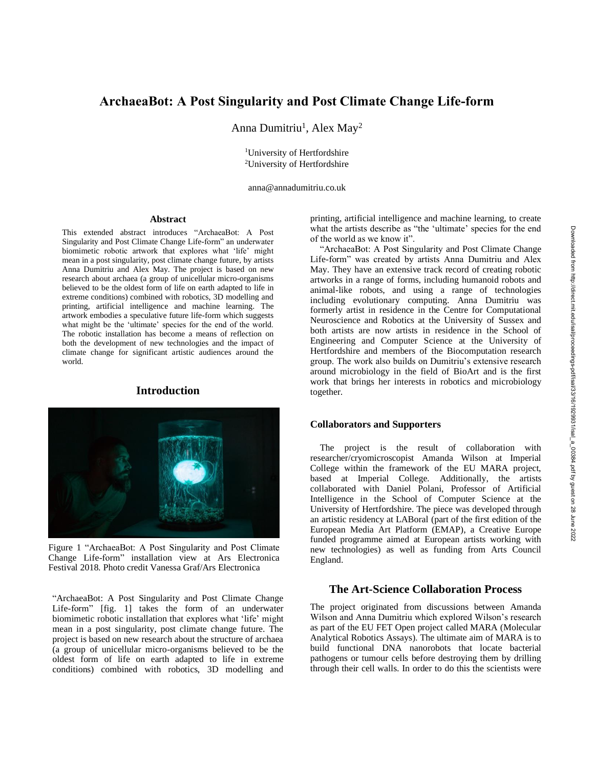# **ArchaeaBot: A Post Singularity and Post Climate Change Life-form**

Anna Dumitriu<sup>1</sup>, Alex May<sup>2</sup>

<sup>1</sup>University of Hertfordshire <sup>2</sup>University of Hertfordshire

anna@annadumitriu.co.uk

#### **Abstract**

This extended abstract introduces "ArchaeaBot: A Post Singularity and Post Climate Change Life-form" an underwater biomimetic robotic artwork that explores what 'life' might mean in a post singularity, post climate change future, by artists Anna Dumitriu and Alex May. The project is based on new research about archaea (a group of unicellular micro-organisms believed to be the oldest form of life on earth adapted to life in extreme conditions) combined with robotics, 3D modelling and printing, artificial intelligence and machine learning. The artwork embodies a speculative future life-form which suggests what might be the 'ultimate' species for the end of the world. The robotic installation has become a means of reflection on both the development of new technologies and the impact of climate change for significant artistic audiences around the world.

## **Introduction**



Figure 1 "ArchaeaBot: A Post Singularity and Post Climate Change Life-form" installation view at Ars Electronica Festival 2018. Photo credit Vanessa Graf/Ars Electronica

"ArchaeaBot: A Post Singularity and Post Climate Change Life-form" [fig. 1] takes the form of an underwater biomimetic robotic installation that explores what 'life' might mean in a post singularity, post climate change future. The project is based on new research about the structure of archaea (a group of unicellular micro-organisms believed to be the oldest form of life on earth adapted to life in extreme conditions) combined with robotics, 3D modelling and printing, artificial intelligence and machine learning, to create what the artists describe as "the 'ultimate' species for the end of the world as we know it".

"ArchaeaBot: A Post Singularity and Post Climate Change Life-form" was created by artists Anna Dumitriu and Alex May. They have an extensive track record of creating robotic artworks in a range of forms, including humanoid robots and animal-like robots, and using a range of technologies including evolutionary computing. Anna Dumitriu was formerly artist in residence in the Centre for Computational Neuroscience and Robotics at the University of Sussex and both artists are now artists in residence in the School of Engineering and Computer Science at the University of Hertfordshire and members of the Biocomputation research group. The work also builds on Dumitriu's extensive research around microbiology in the field of BioArt and is the first work that brings her interests in robotics and microbiology together.

### **Collaborators and Supporters**

The project is the result of collaboration with researcher/cryomicroscopist Amanda Wilson at Imperial College within the framework of the EU MARA project, based at Imperial College. Additionally, the artists collaborated with Daniel Polani, Professor of Artificial Intelligence in the School of Computer Science at the University of Hertfordshire. The piece was developed through an artistic residency at LABoral (part of the first edition of the European Media Art Platform (EMAP), a Creative Europe funded programme aimed at European artists working with new technologies) as well as funding from Arts Council England.

### **The Art-Science Collaboration Process**

The project originated from discussions between Amanda Wilson and Anna Dumitriu which explored Wilson's research as part of the EU FET Open project called MARA (Molecular Analytical Robotics Assays). The ultimate aim of MARA is to build functional DNA nanorobots that locate bacterial pathogens or tumour cells before destroying them by drilling through their cell walls. In order to do this the scientists were